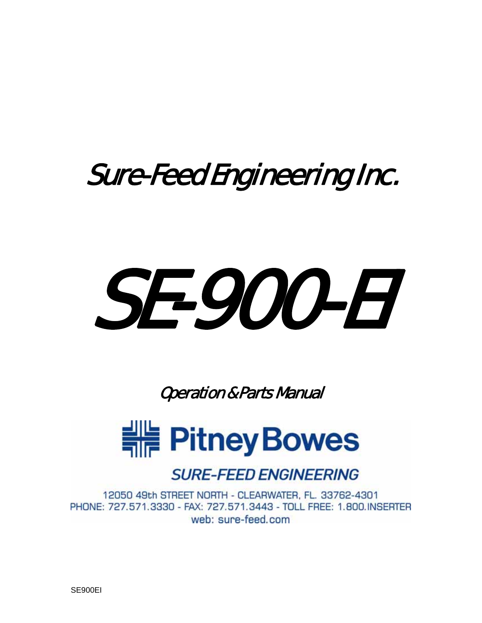# SE-900-EI

Operation & Parts Manual



#### **SURE-FEED ENGINEERING**

12050 49th STREET NORTH - CLEARWATER, FL. 33762-4301 PHONE: 727.571.3330 - FAX: 727.571.3443 - TOLL FREE: 1.800.INSERTER web: sure-feed.com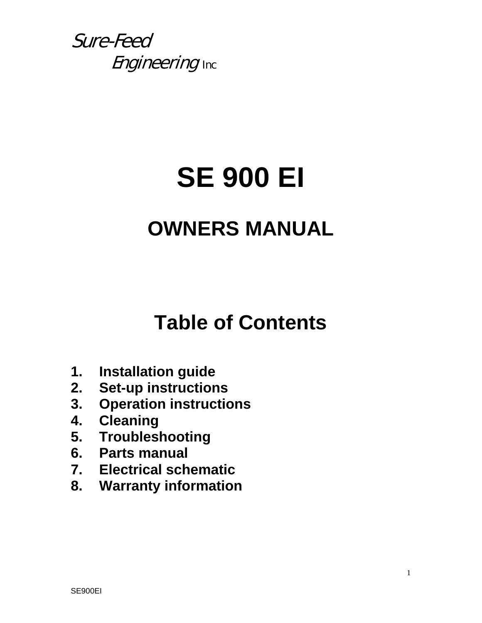# **SE 900 EI**

## **OWNERS MANUAL**

## **Table of Contents**

- **1. Installation guide**
- **2. Set-up instructions**
- **3. Operation instructions**
- **4. Cleaning**
- **5. Troubleshooting**
- **6. Parts manual**
- **7. Electrical schematic**
- **8. Warranty information**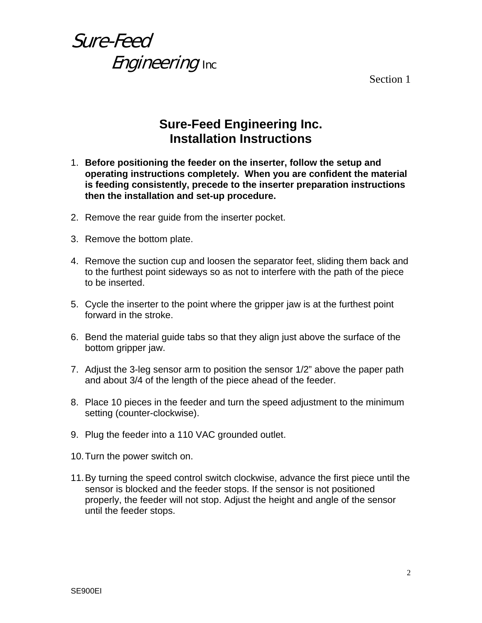Section 1

#### **Sure-Feed Engineering Inc. Installation Instructions**

- 1. **Before positioning the feeder on the inserter, follow the setup and operating instructions completely. When you are confident the material is feeding consistently, precede to the inserter preparation instructions then the installation and set-up procedure.**
- 2. Remove the rear guide from the inserter pocket.
- 3. Remove the bottom plate.
- 4. Remove the suction cup and loosen the separator feet, sliding them back and to the furthest point sideways so as not to interfere with the path of the piece to be inserted.
- 5. Cycle the inserter to the point where the gripper jaw is at the furthest point forward in the stroke.
- 6. Bend the material guide tabs so that they align just above the surface of the bottom gripper jaw.
- 7. Adjust the 3-leg sensor arm to position the sensor 1/2" above the paper path and about 3/4 of the length of the piece ahead of the feeder.
- 8. Place 10 pieces in the feeder and turn the speed adjustment to the minimum setting (counter-clockwise).
- 9. Plug the feeder into a 110 VAC grounded outlet.
- 10. Turn the power switch on.
- 11. By turning the speed control switch clockwise, advance the first piece until the sensor is blocked and the feeder stops. If the sensor is not positioned properly, the feeder will not stop. Adjust the height and angle of the sensor until the feeder stops.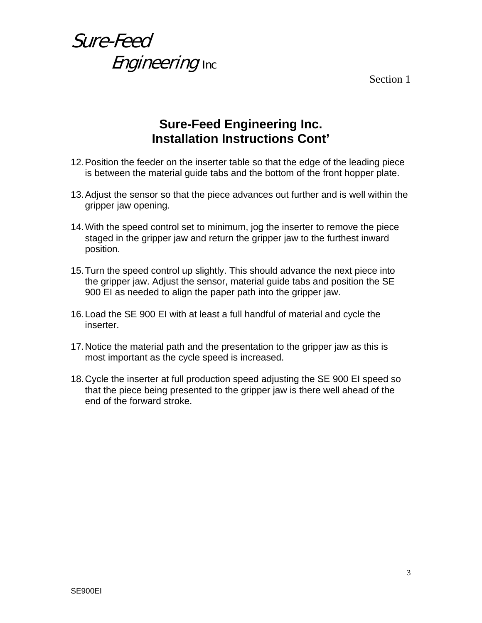Section 1

#### **Sure-Feed Engineering Inc. Installation Instructions Cont'**

- 12. Position the feeder on the inserter table so that the edge of the leading piece is between the material guide tabs and the bottom of the front hopper plate.
- 13. Adjust the sensor so that the piece advances out further and is well within the gripper jaw opening.
- 14. With the speed control set to minimum, jog the inserter to remove the piece staged in the gripper jaw and return the gripper jaw to the furthest inward position.
- 15. Turn the speed control up slightly. This should advance the next piece into the gripper jaw. Adjust the sensor, material guide tabs and position the SE 900 EI as needed to align the paper path into the gripper jaw.
- 16. Load the SE 900 EI with at least a full handful of material and cycle the inserter.
- 17. Notice the material path and the presentation to the gripper jaw as this is most important as the cycle speed is increased.
- 18. Cycle the inserter at full production speed adjusting the SE 900 EI speed so that the piece being presented to the gripper jaw is there well ahead of the end of the forward stroke.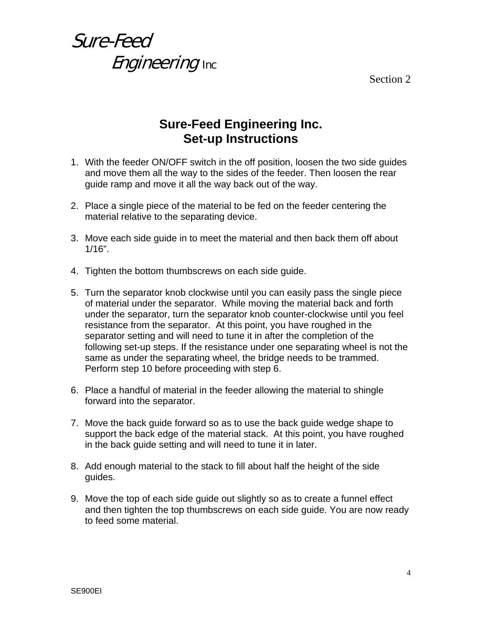Section 2

#### **Sure-Feed Engineering Inc. Set-up Instructions**

- 1. With the feeder ON/OFF switch in the off position, loosen the two side guides and move them all the way to the sides of the feeder. Then loosen the rear guide ramp and move it all the way back out of the way.
- 2. Place a single piece of the material to be fed on the feeder centering the material relative to the separating device.
- 3. Move each side guide in to meet the material and then back them off about  $1/16$ ".
- 4. Tighten the bottom thumbscrews on each side guide.
- 5. Turn the separator knob clockwise until you can easily pass the single piece of material under the separator. While moving the material back and forth under the separator, turn the separator knob counter-clockwise until you feel resistance from the separator. At this point, you have roughed in the separator setting and will need to tune it in after the completion of the following set-up steps. If the resistance under one separating wheel is not the same as under the separating wheel, the bridge needs to be trammed. Perform step 10 before proceeding with step 6.
- 6. Place a handful of material in the feeder allowing the material to shingle forward into the separator.
- 7. Move the back guide forward so as to use the back guide wedge shape to support the back edge of the material stack. At this point, you have roughed in the back guide setting and will need to tune it in later.
- 8. Add enough material to the stack to fill about half the height of the side guides.
- 9. Move the top of each side guide out slightly so as to create a funnel effect and then tighten the top thumbscrews on each side guide. You are now ready to feed some material.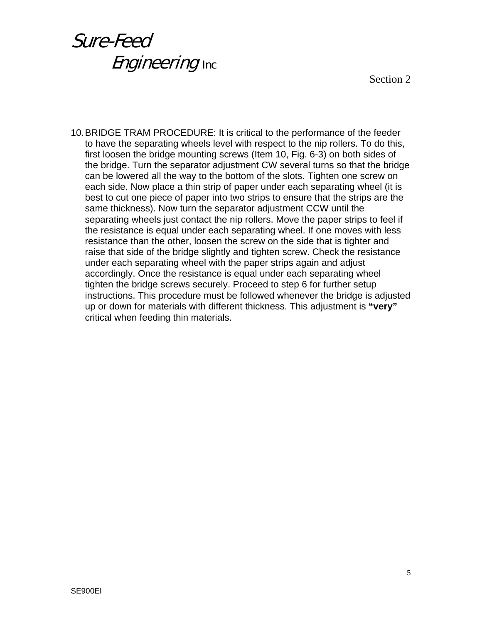Section 2

10. BRIDGE TRAM PROCEDURE: It is critical to the performance of the feeder to have the separating wheels level with respect to the nip rollers. To do this, first loosen the bridge mounting screws (Item 10, Fig. 6-3) on both sides of the bridge. Turn the separator adjustment CW several turns so that the bridge can be lowered all the way to the bottom of the slots. Tighten one screw on each side. Now place a thin strip of paper under each separating wheel (it is best to cut one piece of paper into two strips to ensure that the strips are the same thickness). Now turn the separator adjustment CCW until the separating wheels just contact the nip rollers. Move the paper strips to feel if the resistance is equal under each separating wheel. If one moves with less resistance than the other, loosen the screw on the side that is tighter and raise that side of the bridge slightly and tighten screw. Check the resistance under each separating wheel with the paper strips again and adjust accordingly. Once the resistance is equal under each separating wheel tighten the bridge screws securely. Proceed to step 6 for further setup instructions. This procedure must be followed whenever the bridge is adjusted up or down for materials with different thickness. This adjustment is **"very"** critical when feeding thin materials.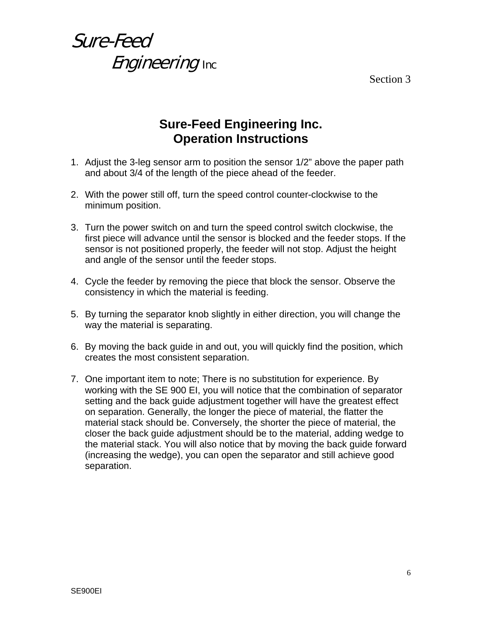Section 3

## Sure-Feed **Engineering Inc.**

#### **Sure-Feed Engineering Inc. Operation Instructions**

- 1. Adjust the 3-leg sensor arm to position the sensor 1/2" above the paper path and about 3/4 of the length of the piece ahead of the feeder.
- 2. With the power still off, turn the speed control counter-clockwise to the minimum position.
- 3. Turn the power switch on and turn the speed control switch clockwise, the first piece will advance until the sensor is blocked and the feeder stops. If the sensor is not positioned properly, the feeder will not stop. Adjust the height and angle of the sensor until the feeder stops.
- 4. Cycle the feeder by removing the piece that block the sensor. Observe the consistency in which the material is feeding.
- 5. By turning the separator knob slightly in either direction, you will change the way the material is separating.
- 6. By moving the back guide in and out, you will quickly find the position, which creates the most consistent separation.
- 7. One important item to note; There is no substitution for experience. By working with the SE 900 EI, you will notice that the combination of separator setting and the back guide adjustment together will have the greatest effect on separation. Generally, the longer the piece of material, the flatter the material stack should be. Conversely, the shorter the piece of material, the closer the back guide adjustment should be to the material, adding wedge to the material stack. You will also notice that by moving the back guide forward (increasing the wedge), you can open the separator and still achieve good separation.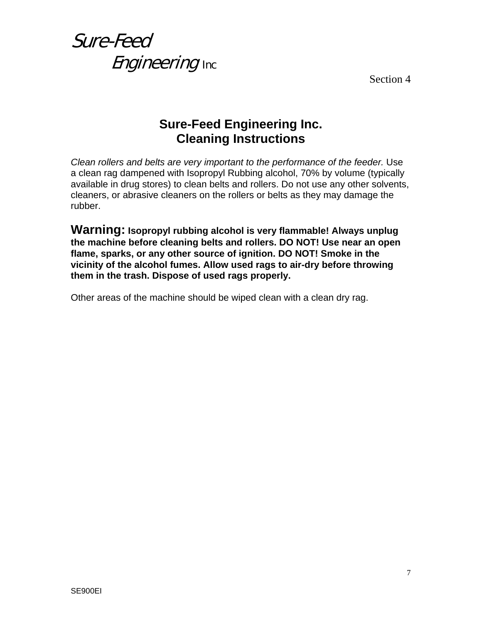Section 4

#### **Sure-Feed Engineering Inc. Cleaning Instructions**

*Clean rollers and belts are very important to the performance of the feeder.* Use a clean rag dampened with Isopropyl Rubbing alcohol, 70% by volume (typically available in drug stores) to clean belts and rollers. Do not use any other solvents, cleaners, or abrasive cleaners on the rollers or belts as they may damage the rubber.

**Warning: Isopropyl rubbing alcohol is very flammable! Always unplug the machine before cleaning belts and rollers. DO NOT! Use near an open flame, sparks, or any other source of ignition. DO NOT! Smoke in the vicinity of the alcohol fumes. Allow used rags to air-dry before throwing them in the trash. Dispose of used rags properly.** 

Other areas of the machine should be wiped clean with a clean dry rag.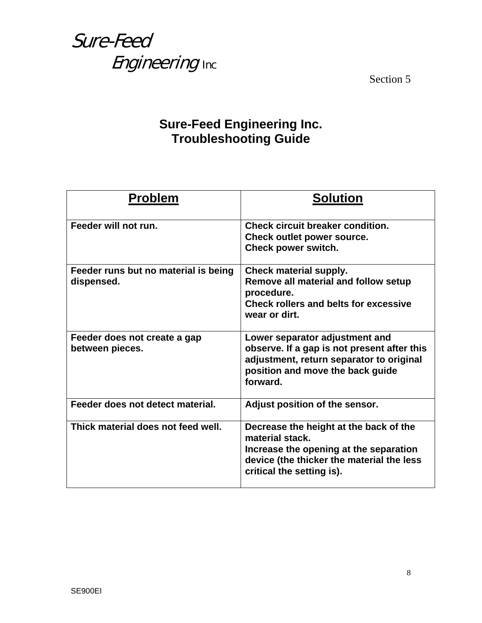Section 5

#### **Sure-Feed Engineering Inc. Troubleshooting Guide**

| <b>Problem</b>                                     | <b>Solution</b>                                                                                                                                                               |
|----------------------------------------------------|-------------------------------------------------------------------------------------------------------------------------------------------------------------------------------|
| Feeder will not run.                               | Check circuit breaker condition.<br>Check outlet power source.<br>Check power switch.                                                                                         |
| Feeder runs but no material is being<br>dispensed. | Check material supply.<br>Remove all material and follow setup<br>procedure.<br>Check rollers and belts for excessive<br>wear or dirt.                                        |
| Feeder does not create a gap<br>between pieces.    | Lower separator adjustment and<br>observe. If a gap is not present after this<br>adjustment, return separator to original<br>position and move the back guide<br>forward.     |
| Feeder does not detect material.                   | Adjust position of the sensor.                                                                                                                                                |
| Thick material does not feed well.                 | Decrease the height at the back of the<br>material stack.<br>Increase the opening at the separation<br>device (the thicker the material the less<br>critical the setting is). |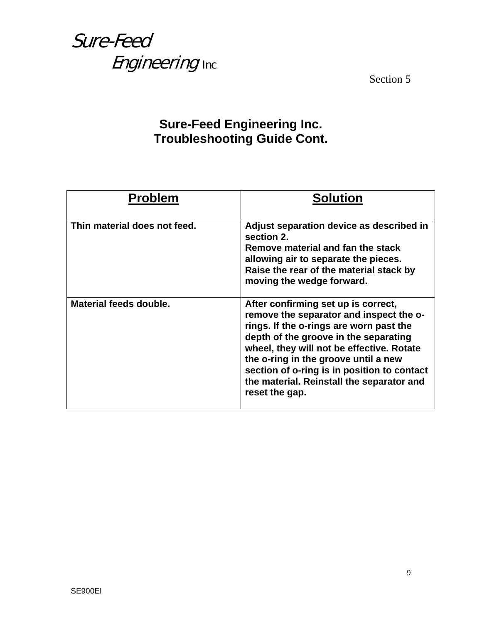Section 5

#### **Sure-Feed Engineering Inc. Troubleshooting Guide Cont.**

| <b>Problem</b>               | <b>Solution</b>                                                                                                                                                                                                                                                                                                                                                       |
|------------------------------|-----------------------------------------------------------------------------------------------------------------------------------------------------------------------------------------------------------------------------------------------------------------------------------------------------------------------------------------------------------------------|
| Thin material does not feed. | Adjust separation device as described in<br>section 2.<br>Remove material and fan the stack<br>allowing air to separate the pieces.<br>Raise the rear of the material stack by<br>moving the wedge forward.                                                                                                                                                           |
| Material feeds double.       | After confirming set up is correct,<br>remove the separator and inspect the o-<br>rings. If the o-rings are worn past the<br>depth of the groove in the separating<br>wheel, they will not be effective. Rotate<br>the o-ring in the groove until a new<br>section of o-ring is in position to contact<br>the material. Reinstall the separator and<br>reset the gap. |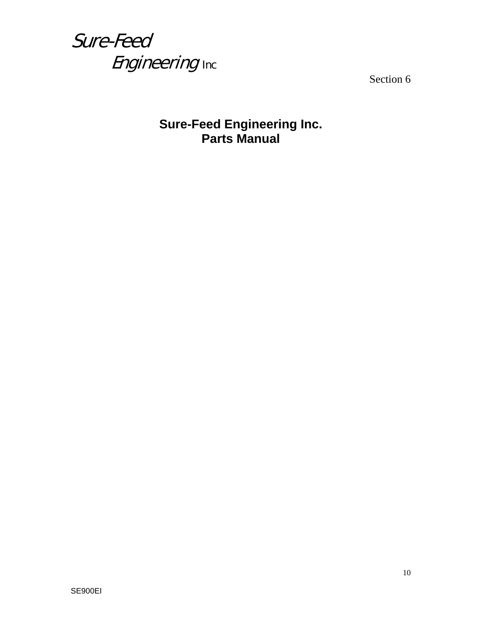

Section 6

#### **Sure-Feed Engineering Inc. Parts Manual**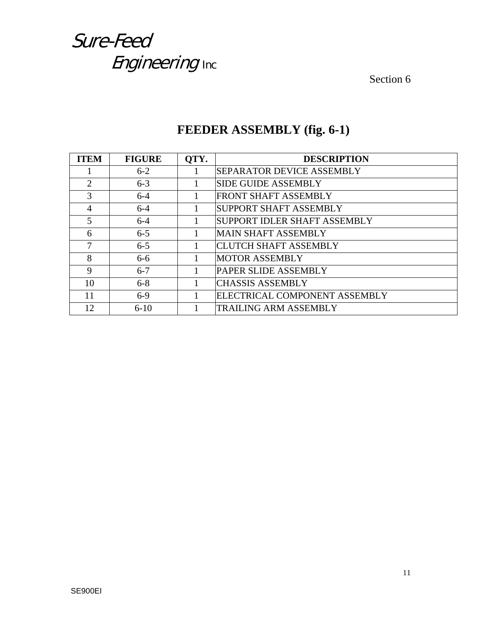Section 6

| <b>ITEM</b>           | <b>FIGURE</b> | OTY. | <b>DESCRIPTION</b>               |
|-----------------------|---------------|------|----------------------------------|
|                       | $6 - 2$       |      | <b>SEPARATOR DEVICE ASSEMBLY</b> |
| $\mathcal{D}_{\cdot}$ | $6 - 3$       |      | <b>SIDE GUIDE ASSEMBLY</b>       |
| $\mathcal{R}$         | $6 - 4$       |      | <b>FRONT SHAFT ASSEMBLY</b>      |
| $\overline{4}$        | $6 - 4$       |      | SUPPORT SHAFT ASSEMBLY           |
| 5                     | $6 - 4$       |      | SUPPORT IDLER SHAFT ASSEMBLY     |
| 6                     | $6 - 5$       |      | <b>MAIN SHAFT ASSEMBLY</b>       |
| 7                     | $6 - 5$       |      | <b>CLUTCH SHAFT ASSEMBLY</b>     |
| 8                     | $6-6$         |      | <b>MOTOR ASSEMBLY</b>            |
| 9                     | $6 - 7$       |      | PAPER SLIDE ASSEMBLY             |
| 10                    | $6 - 8$       |      | <b>CHASSIS ASSEMBLY</b>          |
| 11                    | $6-9$         |      | ELECTRICAL COMPONENT ASSEMBLY    |
| 12                    | $6-10$        |      | <b>TRAILING ARM ASSEMBLY</b>     |

#### **FEEDER ASSEMBLY (fig. 6-1)**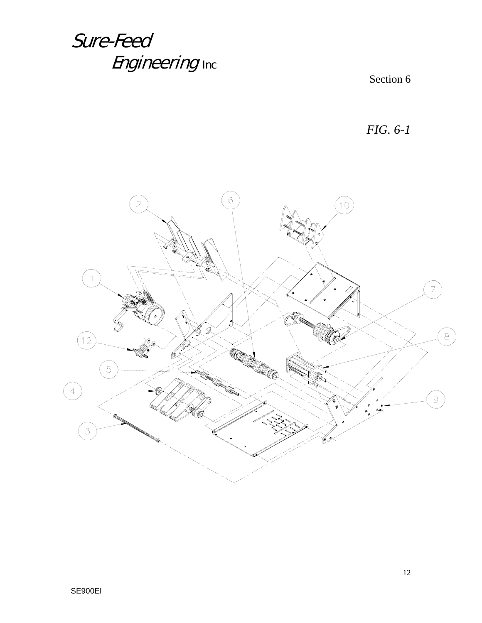Section 6

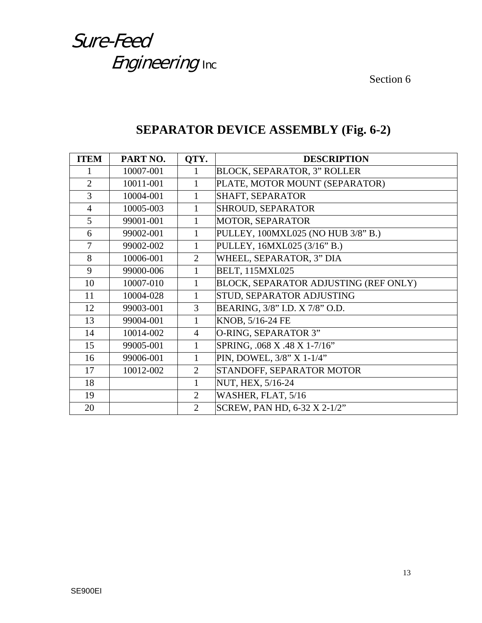Section 6

| <b>ITEM</b>    | PART NO.  | QTY.           | <b>DESCRIPTION</b>                    |
|----------------|-----------|----------------|---------------------------------------|
|                | 10007-001 | 1              | <b>BLOCK, SEPARATOR, 3" ROLLER</b>    |
| $\overline{2}$ | 10011-001 | 1              | PLATE, MOTOR MOUNT (SEPARATOR)        |
| $\overline{3}$ | 10004-001 | 1              | SHAFT, SEPARATOR                      |
| $\overline{4}$ | 10005-003 | 1              | <b>SHROUD, SEPARATOR</b>              |
| 5              | 99001-001 | $\mathbf{1}$   | MOTOR, SEPARATOR                      |
| 6              | 99002-001 | $\mathbf{1}$   | PULLEY, 100MXL025 (NO HUB 3/8" B.)    |
| $\overline{7}$ | 99002-002 | 1              | PULLEY, 16MXL025 (3/16" B.)           |
| 8              | 10006-001 | $\overline{2}$ | WHEEL, SEPARATOR, 3" DIA              |
| 9              | 99000-006 |                | <b>BELT, 115MXL025</b>                |
| 10             | 10007-010 | $\mathbf{1}$   | BLOCK, SEPARATOR ADJUSTING (REF ONLY) |
| 11             | 10004-028 | 1              | STUD, SEPARATOR ADJUSTING             |
| 12             | 99003-001 | 3              | BEARING, 3/8" I.D. X 7/8" O.D.        |
| 13             | 99004-001 | 1              | KNOB, 5/16-24 FE                      |
| 14             | 10014-002 | $\overline{4}$ | O-RING, SEPARATOR 3"                  |
| 15             | 99005-001 | 1              | SPRING, .068 X .48 X 1-7/16"          |
| 16             | 99006-001 | 1              | PIN, DOWEL, 3/8" X 1-1/4"             |
| 17             | 10012-002 | 2              | STANDOFF, SEPARATOR MOTOR             |
| 18             |           | 1              | NUT, HEX, 5/16-24                     |
| 19             |           | $\overline{2}$ | WASHER, FLAT, 5/16                    |
| 20             |           | $\overline{2}$ | SCREW, PAN HD, 6-32 X 2-1/2"          |

#### **SEPARATOR DEVICE ASSEMBLY (Fig. 6-2)**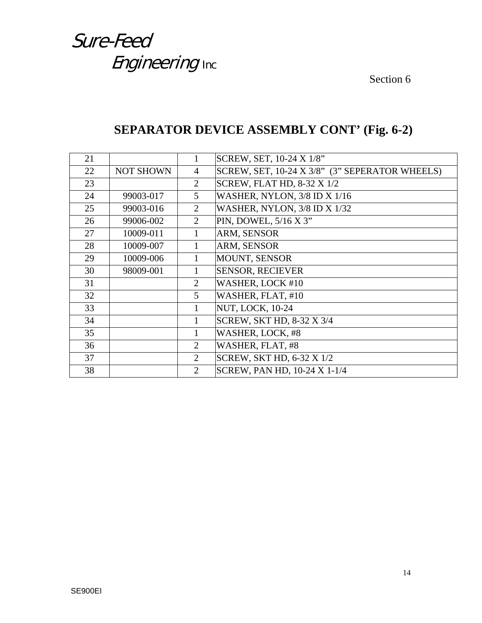Section 6

#### **SEPARATOR DEVICE ASSEMBLY CONT' (Fig. 6-2)**

| 21 |                  | 1              | SCREW, SET, 10-24 X 1/8"                       |
|----|------------------|----------------|------------------------------------------------|
| 22 | <b>NOT SHOWN</b> | 4              | SCREW, SET, 10-24 X 3/8" (3" SEPERATOR WHEELS) |
| 23 |                  | $\overline{2}$ | <b>SCREW, FLAT HD, 8-32 X 1/2</b>              |
| 24 | 99003-017        | 5              | WASHER, NYLON, 3/8 ID X 1/16                   |
| 25 | 99003-016        | $\overline{2}$ | WASHER, NYLON, 3/8 ID X 1/32                   |
| 26 | 99006-002        | $\overline{2}$ | PIN, DOWEL, 5/16 X 3"                          |
| 27 | 10009-011        |                | ARM, SENSOR                                    |
| 28 | 10009-007        |                | ARM, SENSOR                                    |
| 29 | 10009-006        |                | MOUNT, SENSOR                                  |
| 30 | 98009-001        |                | <b>SENSOR, RECIEVER</b>                        |
| 31 |                  | 2              | WASHER, LOCK #10                               |
| 32 |                  | 5              | WASHER, FLAT, #10                              |
| 33 |                  | 1              | <b>NUT, LOCK, 10-24</b>                        |
| 34 |                  | 1              | SCREW, SKT HD, 8-32 X 3/4                      |
| 35 |                  | 1              | WASHER, LOCK, #8                               |
| 36 |                  | $\overline{2}$ | WASHER, FLAT, #8                               |
| 37 |                  | $\overline{2}$ | <b>SCREW, SKT HD, 6-32 X 1/2</b>               |
| 38 |                  | $\overline{2}$ | SCREW, PAN HD, 10-24 X 1-1/4                   |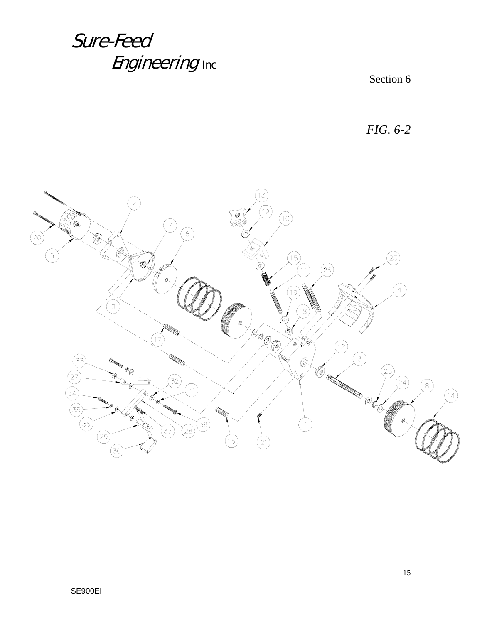Section 6

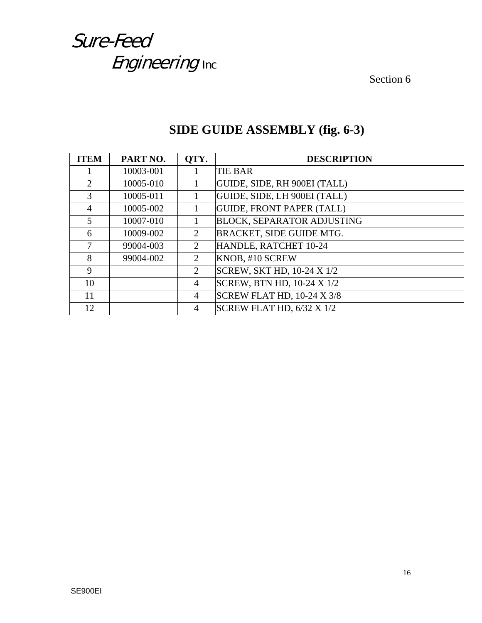Section 6

| <b>ITEM</b>                 | PART NO.  | OTY.                  | <b>DESCRIPTION</b>                |
|-----------------------------|-----------|-----------------------|-----------------------------------|
|                             | 10003-001 |                       | <b>TIE BAR</b>                    |
| $\mathcal{D}_{\mathcal{L}}$ | 10005-010 |                       | GUIDE, SIDE, RH 900EI (TALL)      |
| 3                           | 10005-011 |                       | GUIDE, SIDE, LH 900EI (TALL)      |
| 4                           | 10005-002 |                       | <b>GUIDE, FRONT PAPER (TALL)</b>  |
| 5                           | 10007-010 |                       | <b>BLOCK, SEPARATOR ADJUSTING</b> |
| 6                           | 10009-002 | 2                     | BRACKET, SIDE GUIDE MTG.          |
| 7                           | 99004-003 | 2                     | HANDLE, RATCHET 10-24             |
| 8                           | 99004-002 | 2                     | KNOB, #10 SCREW                   |
| 9                           |           | $\mathcal{D}_{\cdot}$ | <b>SCREW, SKT HD, 10-24 X 1/2</b> |
| 10                          |           | 4                     | <b>SCREW, BTN HD, 10-24 X 1/2</b> |
| 11                          |           | 4                     | SCREW FLAT HD, 10-24 X 3/8        |
| 12                          |           | 4                     | SCREW FLAT HD, 6/32 X 1/2         |

#### **SIDE GUIDE ASSEMBLY (fig. 6-3)**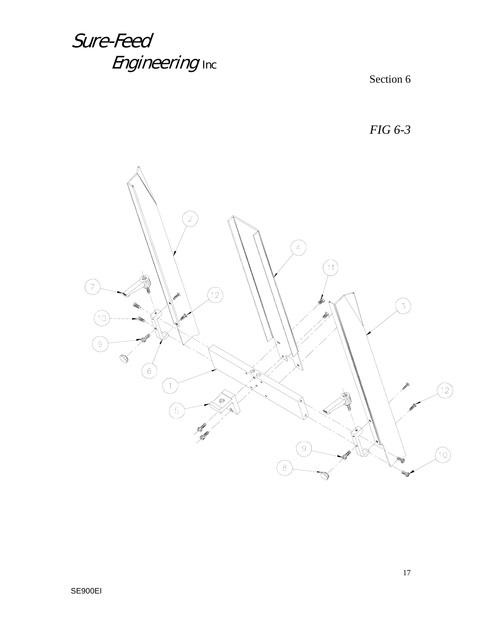Section 6

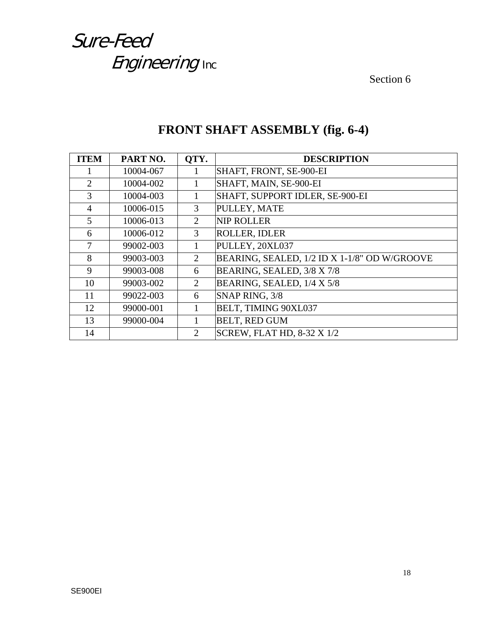Section 6

| <b>ITEM</b>    | PART NO.  | OTY.           | <b>DESCRIPTION</b>                           |
|----------------|-----------|----------------|----------------------------------------------|
|                | 10004-067 |                | SHAFT, FRONT, SE-900-EI                      |
| 2              | 10004-002 |                | SHAFT, MAIN, SE-900-EI                       |
| 3              | 10004-003 |                | SHAFT, SUPPORT IDLER, SE-900-EI              |
| 4              | 10006-015 | 3              | PULLEY, MATE                                 |
| $\mathfrak{S}$ | 10006-013 | 2              | <b>NIP ROLLER</b>                            |
| 6              | 10006-012 | 3              | <b>ROLLER, IDLER</b>                         |
| 7              | 99002-003 |                | PULLEY, 20XL037                              |
| 8              | 99003-003 | $\overline{2}$ | BEARING, SEALED, 1/2 ID X 1-1/8" OD W/GROOVE |
| 9              | 99003-008 | 6              | BEARING, SEALED, 3/8 X 7/8                   |
| 10             | 99003-002 | $\overline{2}$ | BEARING, SEALED, 1/4 X 5/8                   |
| 11             | 99022-003 | 6              | SNAP RING, 3/8                               |
| 12             | 99000-001 |                | BELT, TIMING 90XL037                         |
| 13             | 99000-004 |                | <b>BELT, RED GUM</b>                         |
| 14             |           | 2              | <b>SCREW, FLAT HD, 8-32 X 1/2</b>            |

#### **FRONT SHAFT ASSEMBLY (fig. 6-4)**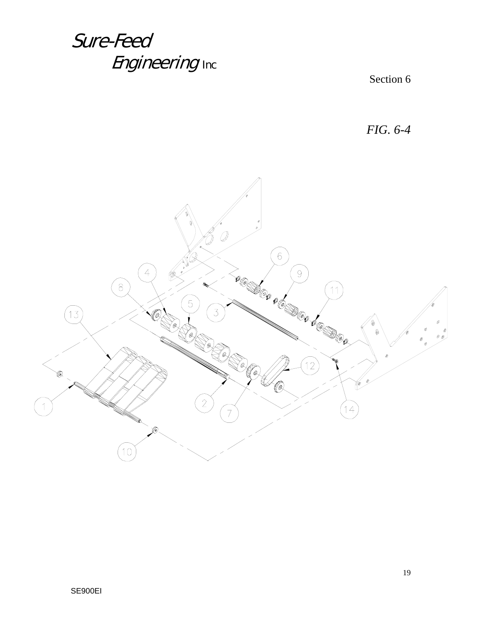Section 6

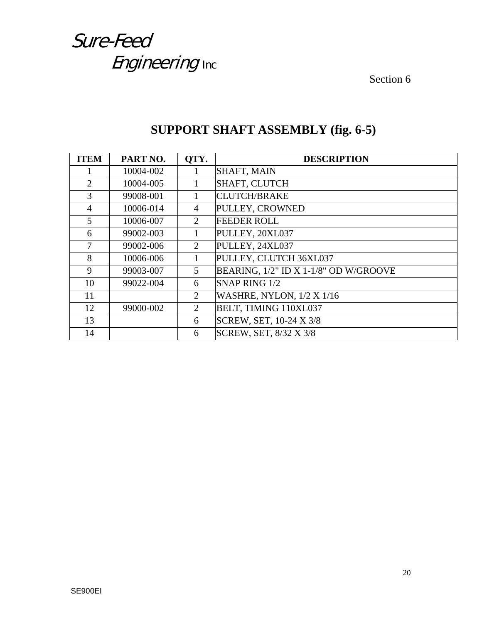Section 6

| <b>ITEM</b>    | PART NO.  | OTY.           | <b>DESCRIPTION</b>                    |
|----------------|-----------|----------------|---------------------------------------|
|                | 10004-002 | 1              | SHAFT, MAIN                           |
| $\overline{2}$ | 10004-005 |                | <b>SHAFT, CLUTCH</b>                  |
| 3              | 99008-001 |                | <b>CLUTCH/BRAKE</b>                   |
| $\overline{4}$ | 10006-014 | $\overline{4}$ | PULLEY, CROWNED                       |
| 5              | 10006-007 | 2              | <b>FEEDER ROLL</b>                    |
| 6              | 99002-003 |                | PULLEY, 20XL037                       |
| 7              | 99002-006 | 2              | PULLEY, 24XL037                       |
| 8              | 10006-006 | 1              | PULLEY, CLUTCH 36XL037                |
| 9              | 99003-007 | 5              | BEARING, 1/2" ID X 1-1/8" OD W/GROOVE |
| 10             | 99022-004 | 6              | SNAP RING 1/2                         |
| 11             |           | 2              | <b>WASHRE, NYLON, 1/2 X 1/16</b>      |
| 12             | 99000-002 | 2              | BELT, TIMING 110XL037                 |
| 13             |           | 6              | SCREW, SET, 10-24 X 3/8               |
| 14             |           | 6              | SCREW, SET, 8/32 X 3/8                |

#### **SUPPORT SHAFT ASSEMBLY (fig. 6-5)**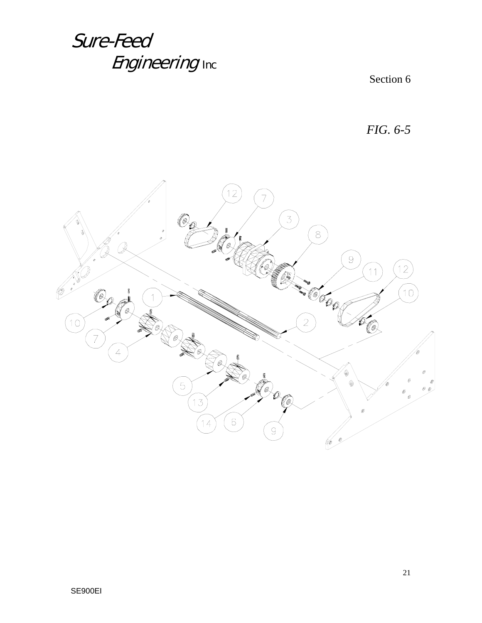Section 6

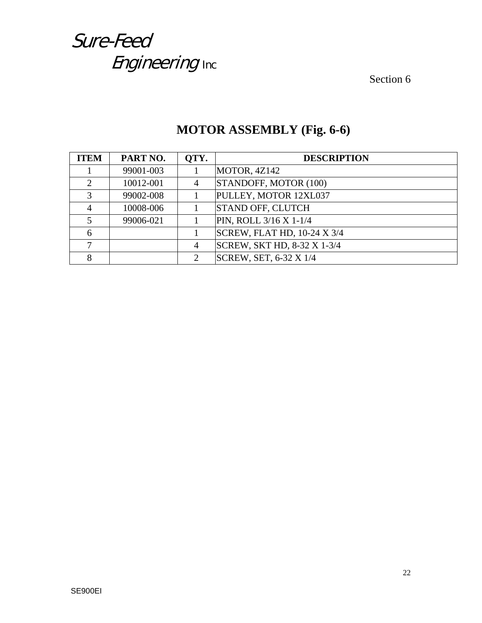Section 6

| <b>ITEM</b>                 | PART NO.  | OTY.           | <b>DESCRIPTION</b>          |
|-----------------------------|-----------|----------------|-----------------------------|
|                             | 99001-003 |                | MOTOR, 4Z142                |
| $\mathcal{D}_{\mathcal{L}}$ | 10012-001 | $\overline{4}$ | STANDOFF, MOTOR (100)       |
| $\mathcal{R}$               | 99002-008 |                | PULLEY, MOTOR 12XL037       |
|                             | 10008-006 |                | <b>STAND OFF, CLUTCH</b>    |
|                             | 99006-021 |                | PIN, ROLL 3/16 X 1-1/4      |
| 6                           |           |                | SCREW, FLAT HD, 10-24 X 3/4 |
|                             |           | 4              | SCREW, SKT HD, 8-32 X 1-3/4 |
|                             |           | 2              | SCREW, SET, 6-32 X 1/4      |

#### **MOTOR ASSEMBLY (Fig. 6-6)**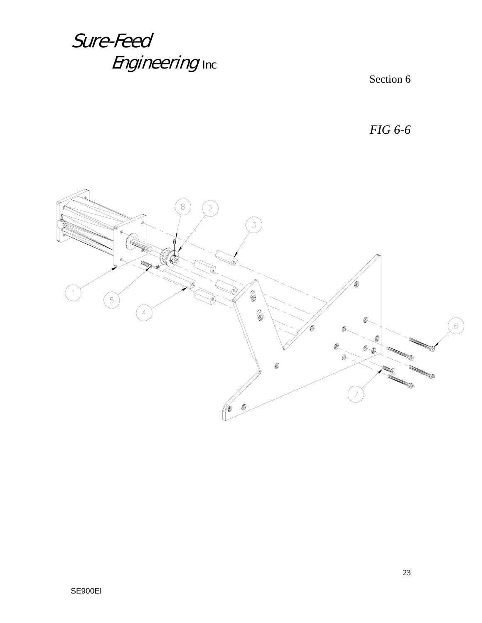Section 6

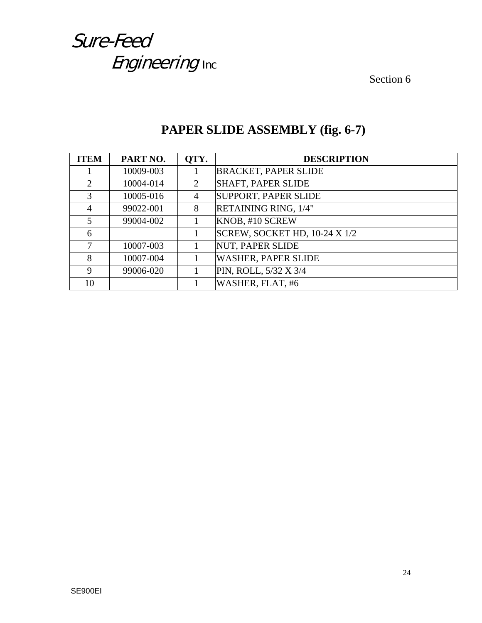Section 6

| <b>ITEM</b> | PART NO.  | OTY. | <b>DESCRIPTION</b>            |
|-------------|-----------|------|-------------------------------|
|             | 10009-003 |      | <b>BRACKET, PAPER SLIDE</b>   |
| 2           | 10004-014 | 2    | <b>SHAFT, PAPER SLIDE</b>     |
| 3           | 10005-016 | 4    | <b>SUPPORT, PAPER SLIDE</b>   |
| 4           | 99022-001 | 8    | RETAINING RING, 1/4"          |
| 5           | 99004-002 |      | KNOB, #10 SCREW               |
| 6           |           |      | SCREW, SOCKET HD, 10-24 X 1/2 |
| 7           | 10007-003 |      | <b>NUT, PAPER SLIDE</b>       |
| 8           | 10007-004 |      | <b>WASHER, PAPER SLIDE</b>    |
| 9           | 99006-020 |      | PIN, ROLL, 5/32 X 3/4         |
| 10          |           |      | WASHER, FLAT, #6              |

#### **PAPER SLIDE ASSEMBLY (fig. 6-7)**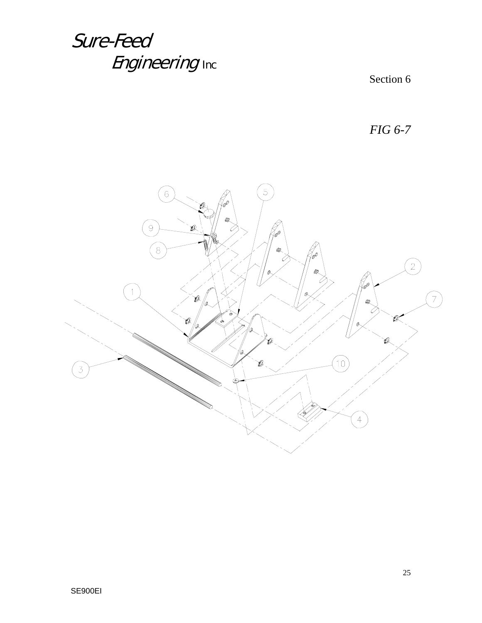Section 6

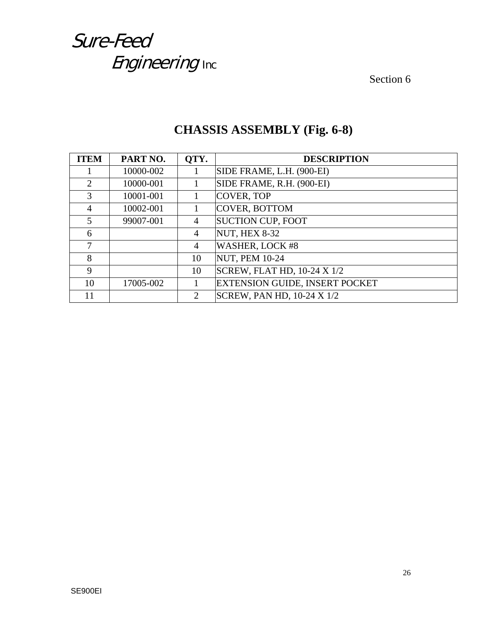Section 6

| <b>ITEM</b>    | PART NO.  | QTY.           | <b>DESCRIPTION</b>                 |
|----------------|-----------|----------------|------------------------------------|
|                | 10000-002 |                | SIDE FRAME, L.H. (900-EI)          |
| 2              | 10000-001 |                | SIDE FRAME, R.H. (900-EI)          |
| 3              | 10001-001 |                | COVER, TOP                         |
| $\overline{4}$ | 10002-001 |                | COVER, BOTTOM                      |
| 5              | 99007-001 | 4              | <b>SUCTION CUP, FOOT</b>           |
| 6              |           | 4              | <b>NUT, HEX 8-32</b>               |
| 7              |           | 4              | WASHER, LOCK #8                    |
| 8              |           | 10             | <b>NUT, PEM 10-24</b>              |
| 9              |           | 10             | <b>SCREW, FLAT HD, 10-24 X 1/2</b> |
| 10             | 17005-002 |                | EXTENSION GUIDE, INSERT POCKET     |
| 11             |           | $\overline{2}$ | SCREW, PAN HD, 10-24 X 1/2         |

#### **CHASSIS ASSEMBLY (Fig. 6-8)**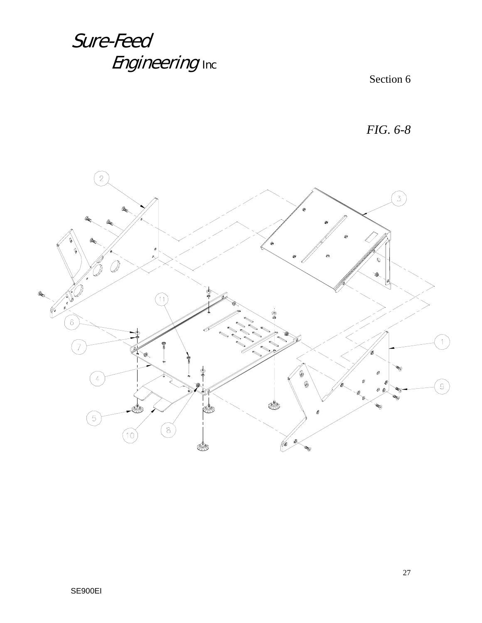Section 6

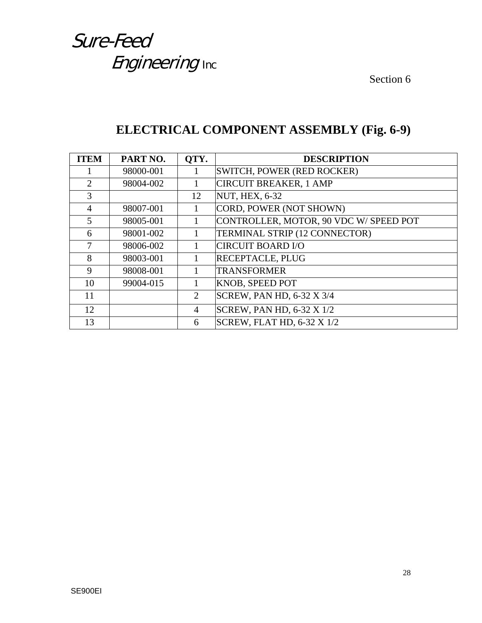Section 6

#### **ELECTRICAL COMPONENT ASSEMBLY (Fig. 6-9)**

| <b>ITEM</b> | PART NO.  | OTY.           | <b>DESCRIPTION</b>                     |
|-------------|-----------|----------------|----------------------------------------|
|             | 98000-001 | 1              | SWITCH, POWER (RED ROCKER)             |
| 2           | 98004-002 |                | <b>CIRCUIT BREAKER, 1 AMP</b>          |
| 3           |           | 12             | <b>NUT, HEX, 6-32</b>                  |
| 4           | 98007-001 |                | CORD, POWER (NOT SHOWN)                |
| 5           | 98005-001 |                | CONTROLLER, MOTOR, 90 VDC W/ SPEED POT |
| 6           | 98001-002 | 1              | TERMINAL STRIP (12 CONNECTOR)          |
| 7           | 98006-002 |                | <b>CIRCUIT BOARD I/O</b>               |
| 8           | 98003-001 |                | RECEPTACLE, PLUG                       |
| 9           | 98008-001 |                | <b>TRANSFORMER</b>                     |
| 10          | 99004-015 |                | KNOB, SPEED POT                        |
| 11          |           | 2              | <b>SCREW, PAN HD, 6-32 X 3/4</b>       |
| 12          |           | $\overline{4}$ | <b>SCREW, PAN HD, 6-32 X 1/2</b>       |
| 13          |           | 6              | <b>SCREW, FLAT HD, 6-32 X 1/2</b>      |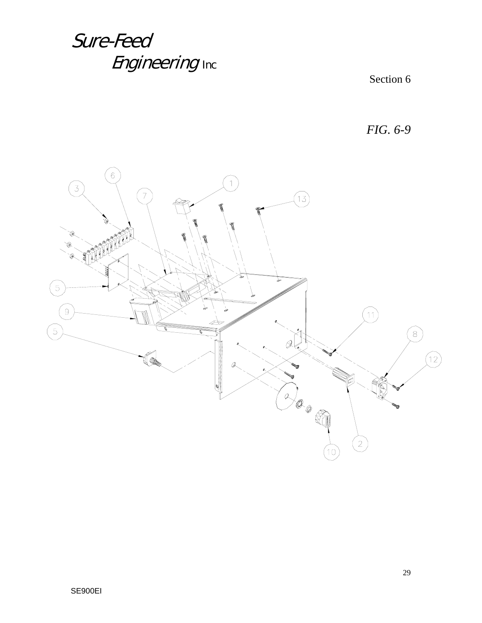Section 6

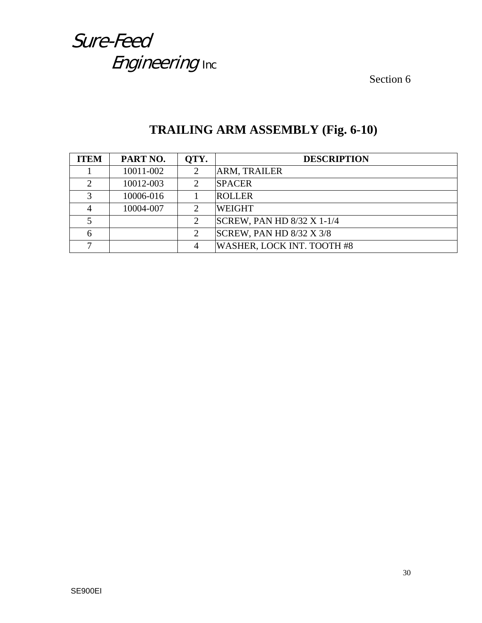Section 6

| <b>ITEM</b> | PART NO.  | OTY.                        | <b>DESCRIPTION</b>                |
|-------------|-----------|-----------------------------|-----------------------------------|
|             | 10011-002 | 2                           | ARM, TRAILER                      |
| $\bigcap$   | 10012-003 | $\mathcal{D}_{\mathcal{L}}$ | <b>SPACER</b>                     |
|             | 10006-016 |                             | <b>ROLLER</b>                     |
|             | 10004-007 | 2                           | <b>WEIGHT</b>                     |
|             |           | 2                           | <b>SCREW, PAN HD 8/32 X 1-1/4</b> |
|             |           | 2                           | SCREW, PAN HD $8/32$ X $3/8$      |
|             |           | 4                           | WASHER, LOCK INT. TOOTH #8        |

#### **TRAILING ARM ASSEMBLY (Fig. 6-10)**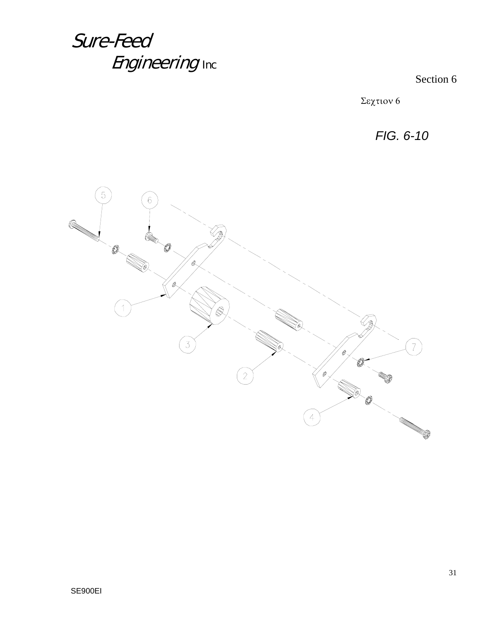Section 6

Σεχτιον 6

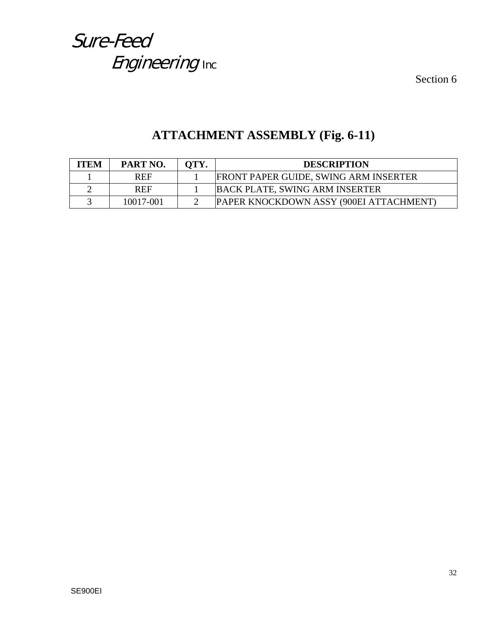Section 6

#### **ATTACHMENT ASSEMBLY (Fig. 6-11)**

| <b>ITEM</b> | PART NO.   | OTY. | <b>DESCRIPTION</b>                           |
|-------------|------------|------|----------------------------------------------|
|             | <b>REF</b> |      | <b>FRONT PAPER GUIDE, SWING ARM INSERTER</b> |
|             | <b>REF</b> |      | <b>BACK PLATE, SWING ARM INSERTER</b>        |
|             | 10017-001  |      | PAPER KNOCKDOWN ASSY (900EI ATTACHMENT)      |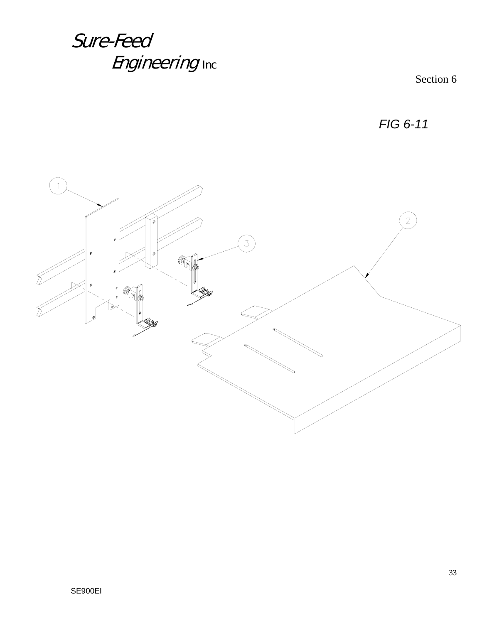Section 6

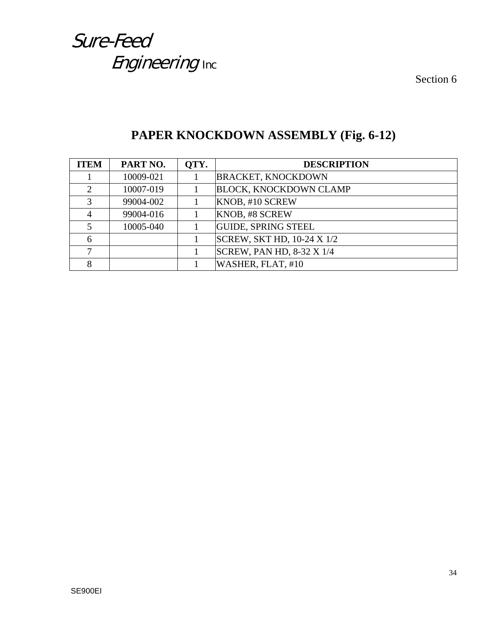Section 6

| <b>ITEM</b>                 | PART NO.  | OTY. | <b>DESCRIPTION</b>               |
|-----------------------------|-----------|------|----------------------------------|
|                             | 10009-021 |      | <b>BRACKET, KNOCKDOWN</b>        |
| $\mathcal{D}_{\mathcal{L}}$ | 10007-019 |      | <b>BLOCK, KNOCKDOWN CLAMP</b>    |
| $\mathcal{R}$               | 99004-002 |      | KNOB, #10 SCREW                  |
|                             | 99004-016 |      | KNOB, #8 SCREW                   |
|                             | 10005-040 |      | <b>GUIDE, SPRING STEEL</b>       |
| 6                           |           |      | SCREW, SKT HD, 10-24 X 1/2       |
|                             |           |      | <b>SCREW, PAN HD, 8-32 X 1/4</b> |
| 8                           |           |      | WASHER, FLAT, #10                |

#### **PAPER KNOCKDOWN ASSEMBLY (Fig. 6-12)**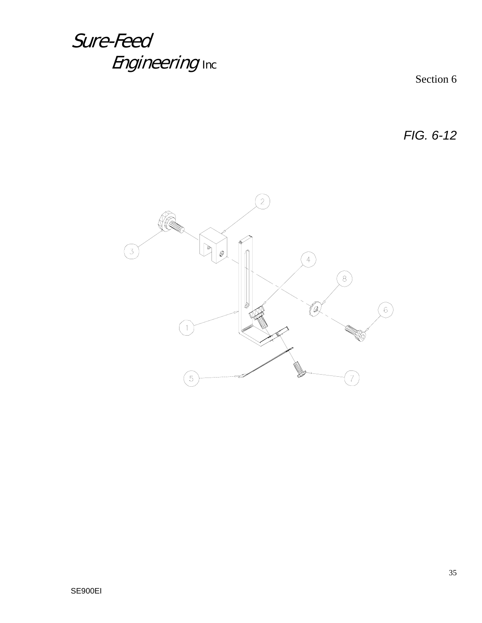Section 6

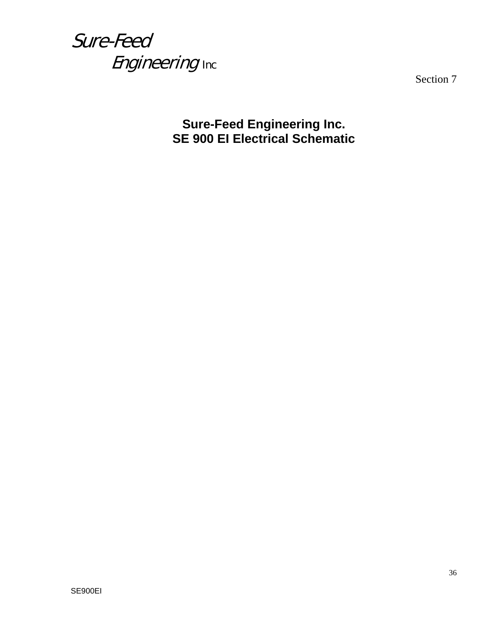Section 7

**Sure-Feed Engineering Inc. SE 900 EI Electrical Schematic**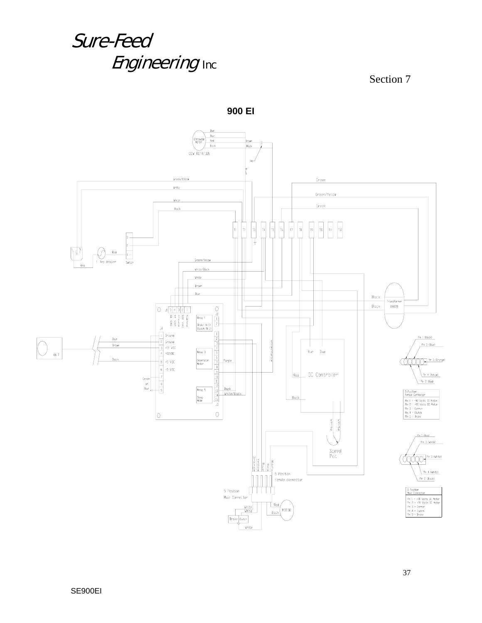

**900 EI**